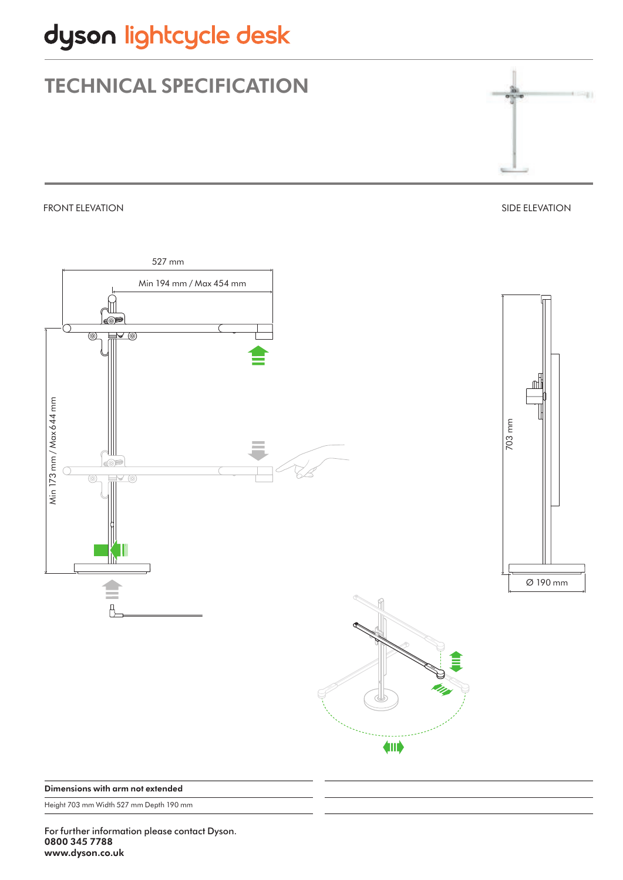## dyson lightcycle desk

## TECHNICAL SPECIFICATION

FRONT ELEVATION

SIDE ELEVATION



Dimensions with arm not extended

Height 703 mm Width 527 mm Depth 190 mm

For further information please contact Dyson. 0800 345 7788 www.dyson.co.uk